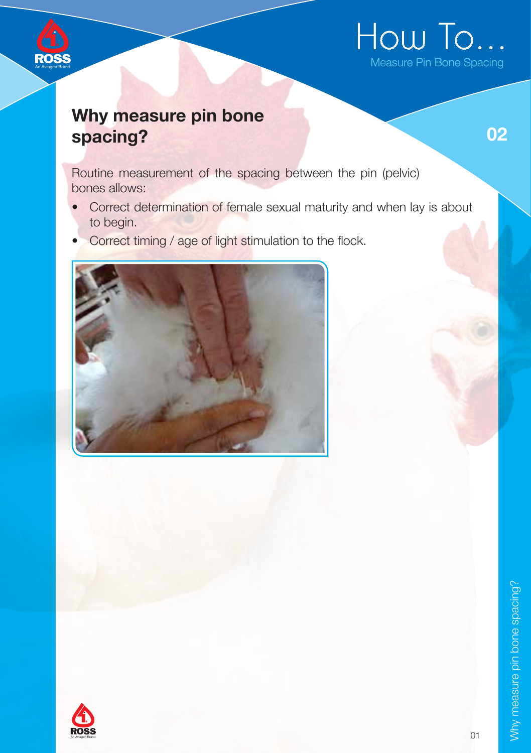

## Why measure pin bone spacing?

An Aviagen Brand

02

Routine measurement of the spacing between the pin (pelvic) bones allows:

- Correct determination of female sexual maturity and when lay is about to begin.
- Correct timing / age of light stimulation to the flock.



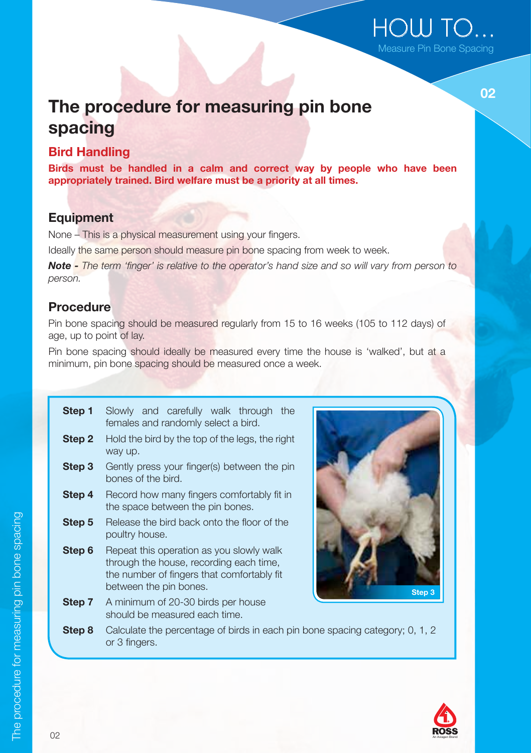## HOW TO... Measure Pin Bone Spacing

በ2

## The procedure for measuring pin bone spacing

#### Bird Handling

Birds must be handled in a calm and correct way by people who have been appropriately trained. Bird welfare must be a priority at all times.

### **Equipment**

None – This is a physical measurement using your fingers.

Ideally the same person should measure pin bone spacing from week to week.

Note - The term 'finger' is relative to the operator's hand size and so will vary from person to person.

## Procedure

Pin bone spacing should be measured regularly from 15 to 16 weeks (105 to 112 days) of age, up to point of lay.

Pin bone spacing should ideally be measured every time the house is 'walked', but at a minimum, pin bone spacing should be measured once a week.

| Step 1 | Slowly and carefully walk through the<br>females and randomly select a bird.                                                                                |
|--------|-------------------------------------------------------------------------------------------------------------------------------------------------------------|
| Step 2 | Hold the bird by the top of the legs, the right<br>way up.                                                                                                  |
| Step 3 | Gently press your finger(s) between the pin<br>bones of the bird.                                                                                           |
| Step 4 | Record how many fingers comfortably fit in<br>the space between the pin bones.                                                                              |
| Step 5 | Release the bird back onto the floor of the<br>poultry house.                                                                                               |
| Step 6 | Repeat this operation as you slowly walk<br>through the house, recording each time,<br>the number of fingers that comfortably fit<br>between the pin bones. |
| Step 7 | A minimum of 20-30 birds per house<br>should be measured each time.                                                                                         |
| Step 8 | Calculate the percentage of birds in each pin bone<br>or 3 finaers.                                                                                         |



spacing category; 0, 1, 2 or 3 fingers.

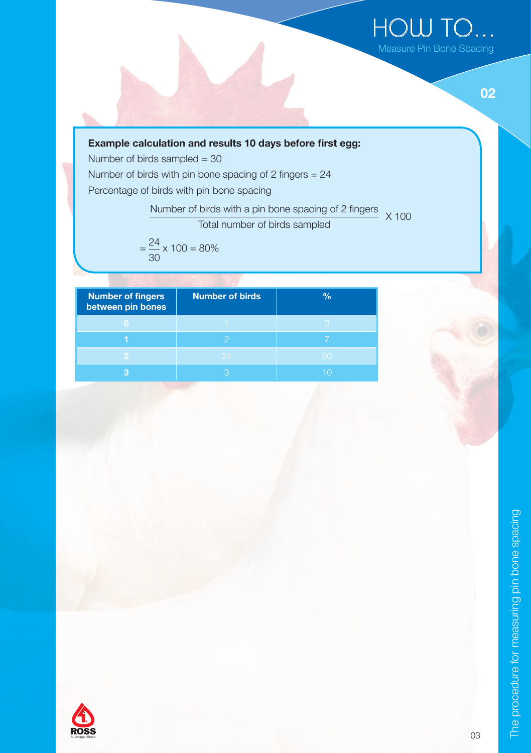



#### Example calculation and results 10 days before first egg:

Number of birds sampled = 30 Number of birds with pin bone spacing of 2 fingers = 24 Percentage of birds with pin bone spacing

> Number of birds with a pin bone spacing of 2 fingers  $X$  100

Total number of birds sampled

$$
=\frac{24}{30} \times 100 = 80\%
$$

| <b>Number of fingers</b><br>between pin bones | <b>Number of birds</b> | $\frac{1}{2}$ |
|-----------------------------------------------|------------------------|---------------|
|                                               |                        |               |
|                                               |                        |               |
|                                               |                        |               |
|                                               |                        |               |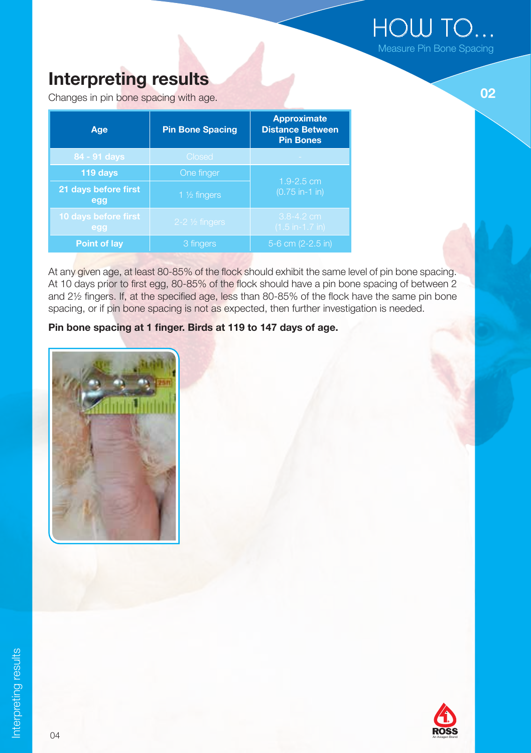HOW TO... Measure Pin Bone Spacing

# Interpreting results and the contract of the contract of the contract of the contract of the contract of the contract of the contract of the contract of the contract of the contract of the contract of the contract of the c

Changes in pin bone spacing with age.

| Age                         | <b>Pin Bone Spacing</b>   | <b>Approximate</b><br><b>Distance Between</b><br><b>Pin Bones</b> |  |
|-----------------------------|---------------------------|-------------------------------------------------------------------|--|
| 84 - 91 days                | Closed                    |                                                                   |  |
| 119 days<br>One finger      |                           | $1.9 - 2.5$ cm                                                    |  |
| 21 days before first<br>egg | 1 $\frac{1}{2}$ fingers   | $(0.75$ in-1 in)                                                  |  |
| 10 days before first<br>egg | $2-2 \frac{1}{2}$ fingers | $3.8 - 4.2$ cm<br>$(1.5 in-1.7 in)$                               |  |
| Point of lay                | 3 fingers                 | 5-6 cm (2-2.5 in)                                                 |  |

At any given age, at least 80-85% of the flock should exhibit the same level of pin bone spacing. At 10 days prior to first egg, 80-85% of the flock should have a pin bone spacing of between 2 and 2½ fingers. If, at the specified age, less than 80-85% of the flock have the same pin bone spacing, or if pin bone spacing is not as expected, then further investigation is needed.

#### Pin bone spacing at 1 finger. Birds at 119 to 147 days of age.



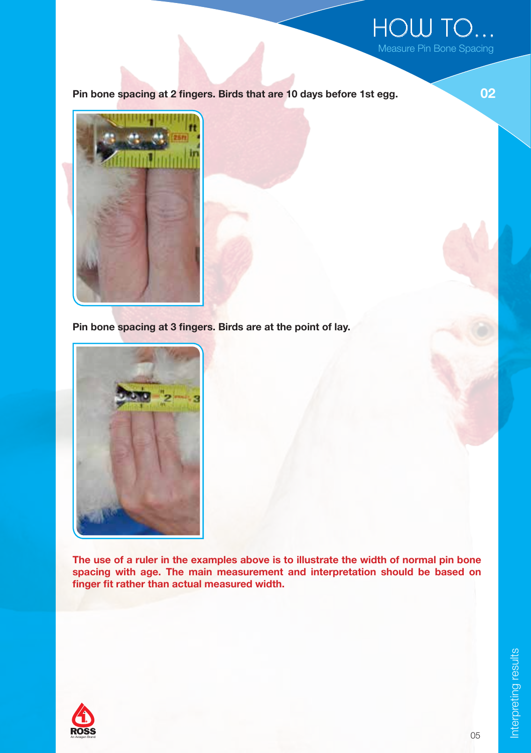

Pin bone spacing at 2 fingers. Birds that are 10 days before 1st egg.



Pin bone spacing at 3 fingers. Birds are at the point of lay.



The use of a ruler in the examples above is to illustrate the width of normal pin bone spacing with age. The main measurement and interpretation should be based on finger fit rather than actual measured width.



Interpreting results Interpreting results